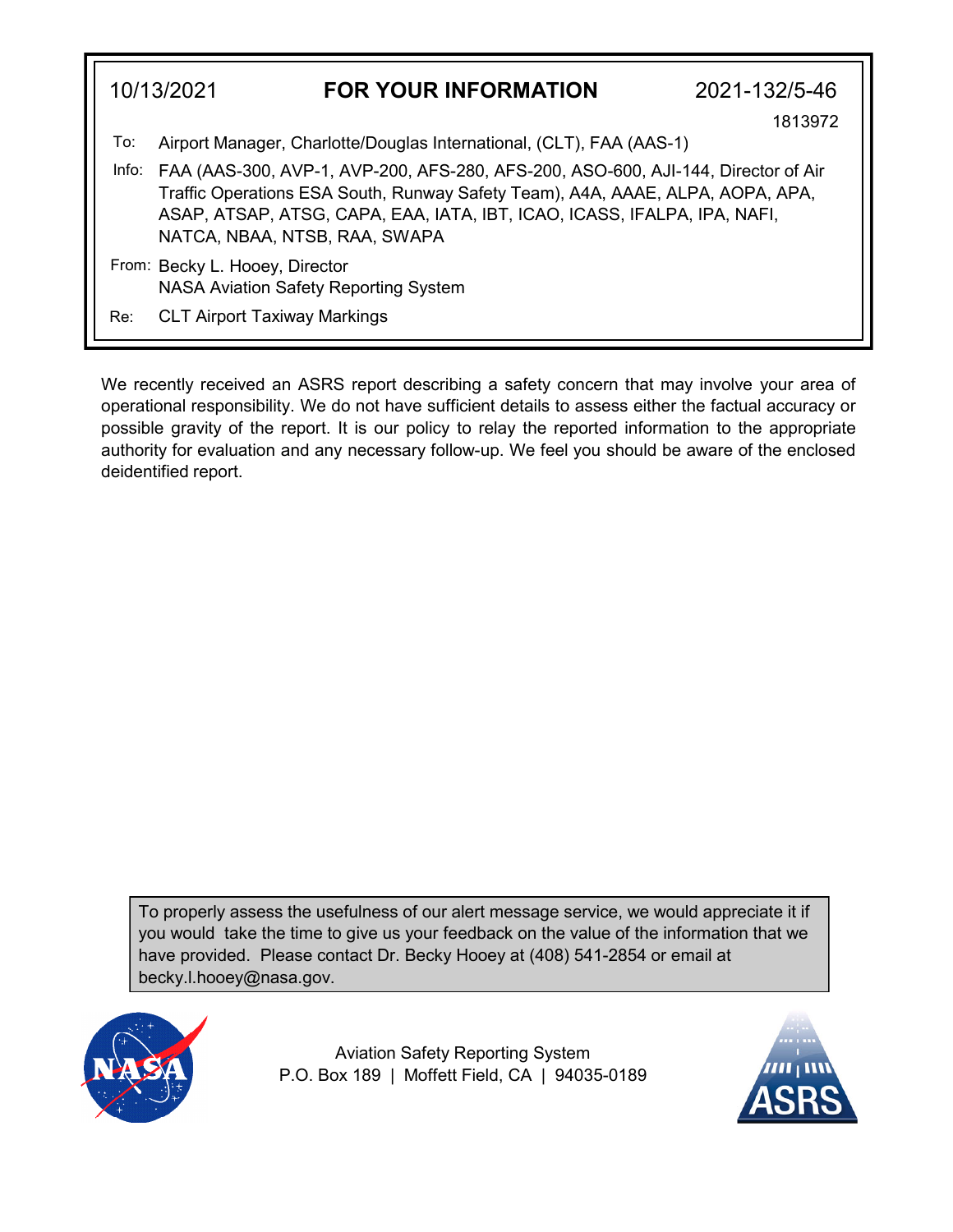|       | 10/13/2021<br><b>FOR YOUR INFORMATION</b>                                                                                                                                                                                                                                        | 2021-132/5-46 |  |
|-------|----------------------------------------------------------------------------------------------------------------------------------------------------------------------------------------------------------------------------------------------------------------------------------|---------------|--|
| To:   | Airport Manager, Charlotte/Douglas International, (CLT), FAA (AAS-1)                                                                                                                                                                                                             | 1813972       |  |
| Info: | FAA (AAS-300, AVP-1, AVP-200, AFS-280, AFS-200, ASO-600, AJI-144, Director of Air<br>Traffic Operations ESA South, Runway Safety Team), A4A, AAAE, ALPA, AOPA, APA,<br>ASAP, ATSAP, ATSG, CAPA, EAA, IATA, IBT, ICAO, ICASS, IFALPA, IPA, NAFI,<br>NATCA, NBAA, NTSB, RAA, SWAPA |               |  |
|       | From: Becky L. Hooey, Director<br><b>NASA Aviation Safety Reporting System</b>                                                                                                                                                                                                   |               |  |
| Re:   | <b>CLT Airport Taxiway Markings</b>                                                                                                                                                                                                                                              |               |  |

We recently received an ASRS report describing a safety concern that may involve your area of operational responsibility. We do not have sufficient details to assess either the factual accuracy or possible gravity of the report. It is our policy to relay the reported information to the appropriate authority for evaluation and any necessary follow-up. We feel you should be aware of the enclosed deidentified report.

To properly assess the usefulness of our alert message service, we would appreciate it if you would take the time to give us your feedback on the value of the information that we have provided. Please contact Dr. Becky Hooey at (408) 541-2854 or email at becky.l.hooey@nasa.gov.



Aviation Safety Reporting System P.O. Box 189 | Moffett Field, CA | 94035-0189